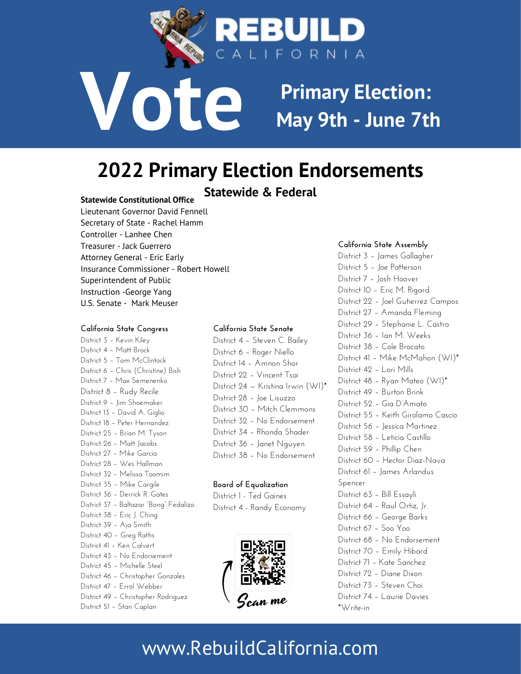

**Primary Election: May 9th - June 7th**

## **2022 Primary Election Endorsements**

## **Statewide & Federal**

## **Statewide Constitutional Office**

Lieutenant Governor David [Fennell](http://www.fennellforcalifornia.com/) Secretary of State - [Rachel](https://cragop.org/candidate-for-secretary-of-state-rachel-hamm/) Hamm Controller - [Lanhee](https://cragop.org/candidate-for-state-controller-lanhee-chen/) Chen Treasurer - Jack [Guerrero](https://cragop.org/candidate-for-state-treasurer-jack-guerrero/) Attorney General - Eric [Early](https://cragop.org/candidate-for-attorney-general-eric-early/) Insurance Commissioner - Robert [Howell](https://electroberthowell.com/) Superintendent of Public Instruction [-George](https://cragop.org/candidate-for-superintendent-of-public-instruction-george-yang/) Yang U.S. Senate - Mark Meuser

**Vote**

#### **California State Congress**

**E**District 37 – Baltazar "Bong" [Fedalizo](https://baltazarfedalizo.com/) mm<br>tes **S**District 28 – Wes [Hallman](https://weshallmanforcongress.org/) **P**District 25 – Brian M. [Tyson](https://drbriantyson.com/) **O**District 18 – Peter [Hernandez](https://hernandezforcongress.com/) District 9 – Jim Shoemaker<br>District 13 – [David](https://www.davidforthevalley.com/) A. Giglio **S**District 7 – Max [Semenenko](https://max.vote/) District 3 – [Kevin](https://electkevinkiley.com/) Kiley District 4 – Matt [Brock](https://www.brock4congress.com/) District 5 – Tom [McClintock](https://www.tommcclintock.com/) District 6 – Chris [\(Christine\)](https://bishforcongress.com/) Bish District 8 – Rudy [Recile](https://rudyforuscongress.com/) District 9 – Jim [Shoemaker](https://shoemaker4congress.com/) District 26 – Matt [Jacobs](https://mattjacobsforcongress.com/) District 27 – Mike [Garcia](https://www.electmikegarcia.com/) District 32 – Melissa [Toomim](https://www.toomim4congress.com/) District 35 – Mike [Cargile](https://www.cargileforcongress.com/) District 36 – [Derrick](https://www.officialderrickgates.com/) R. Gates District 38 – Eric J. [Ching](https://www.ericchingforcongress.com/) District 39 – Aja [Smith](https://www.ajasmithforcongress.com/) District 40 – Greg [Raths](https://gregraths.com/) District 41 – Ken [Calvert](https://www.calvertforcongress.com/) District 43 – No Endorsement District 45 – [Michelle](https://michellesteelca.com/) Steel District 46 – [Christopher](https://gonzalesforcongress.com/) Gonzales District 47 – Errol [Webber](https://webberforamerica.com/) District 49 – [Christopher](https://rodriguezforcongress.us/) Rodriguez District 51 – Stan [Caplan](https://www.caplanforcongress.com/)

#### **California State Senate**

District 4 – [Steven](http://www.baileyforsenate.net/) C. Bailey District 6 – [Roger](https://rogerniello.com/) Niello District 14 – [Amnon](https://www.shorforsenate.com/) Shor District 22 – Vincent Tsai District 24 — [Kristina](https://kristinairwin.com/) Irwin (WI)\* District 28 - Joe [Lisuzzo](https://joelisuzzo.com/) District 30 – Mitch [Clemmons](https://www.electmitchclemmons.com/) District 32 – No Endorsement District 34 – [Rhonda](https://shaderforsenate.com/) Shader District 36 – Janet [Nguyen](https://janet2022.com/) District 38 – No Endorsement

#### **Board of Equalization**

District 1 - Ted [Gaines](https://www.tedgaines.com/) District 4 - Randy [Economy](https://economy4boe.com/)



#### **California State Assembly**

District 3 – James [Gallagher](https://electjamesgallagher.com/) District 5 – Joe [Patterson](https://joepatterson.com/) District 7 – Josh [Hoover](https://hooverforassembly.com/) District 10 – Eric M. [Rigard](https://ericrigardforassembly.com/) District 22 – Joel [Gutierrez](https://campos4assembly.com/) Campos District 27 – [Amanda](https://www.amandaflemingforassembly.com/) Fleming District 29 – [Stephanie](https://castroforassembly2022.com/) L. Castro District 36 – Ian M. [Weeks](https://ianweeksforassembly.com/) District 38 – Cole [Brocato](https://www.brocato4assembly.com/) District 41 – Mike [McMahon](https://mcmahon4assembly.com/) (WI)\* District 42 – Lori [Mills](https://lorimills4stateassembly.com/) District 48 – Ryan Mateo (WI)\* District 49 – [Burton](https://burtonbrinkca.com/) Brink District 52 – Gia [D'Amato](https://giafor2022.com/) District 55 – Keith [Girolamo](https://keithfor55.org/) Cascio District 56 – Jessica [Martinez](https://www.facebook.com/MartinezforAssembly/) District 58 – Leticia [Castillo](https://www.leticiacastilloforassembly.com/) District 59 – [Phillip](https://www.phillipchen.org/) Chen District 60 – Hector Diaz-Nava District 61 – James Arlandus Spencer District 63 – Bill [Essayli](https://essayliforassembly.com/) District 64 – Raul [Ortiz,](https://direct.me/raulforassembly) Jr. District 66 – [George](https://www.facebook.com/GeorgeBarks4AssemblyDistrict66/) Barks District 67 – Soo [Yoo](https://sooyooforassembly.com/) District 68 – No Endorsement District 70 – Emily [Hibard](https://emilyserves.com/) District 71 – Kate [Sanchez](https://www.sanchezforassembly.com/) District 72 – [Diane](http://dianedixonforassembly.com/) Dixon District 73 – [Steven](https://www.stevenchoi.org/) Choi District 74 – [Laurie](https://www.daviesforca.com/) Davies \*Write-in

## www.RebuildCalifornia.com